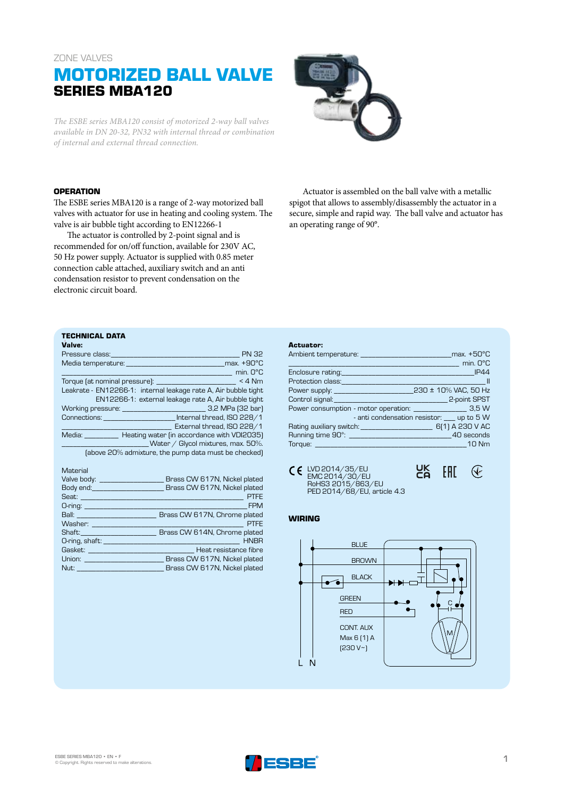### ZONE VALVES

# **MOTORIZED BALL VALVE SERIES MBA120**

*The ESBE series MBA120 consist of motorized 2-way ball valves available in DN 20-32, PN32 with internal thread or combination of internal and external thread connection.* 



#### **OPERATION**

The ESBE series MBA120 is a range of 2-way motorized ball valves with actuator for use in heating and cooling system. The valve is air bubble tight according to EN12266-1

The actuator is controlled by 2-point signal and is recommended for on/off function, available for 230V AC, 50 Hz power supply. Actuator is supplied with 0.85 meter connection cable attached, auxiliary switch and an anti condensation resistor to prevent condensation on the electronic circuit board.

Actuator is assembled on the ball valve with a metallic spigot that allows to assembly/disassembly the actuator in a secure, simple and rapid way. The ball valve and actuator has an operating range of 90°.

#### : **TECHNICAL DATA**

| Valve:                                                                                                                                                                                                                                             |
|----------------------------------------------------------------------------------------------------------------------------------------------------------------------------------------------------------------------------------------------------|
| <b>Pressure class: Contract Contract Contract Contract Contract Contract Contract Contract Contract Contract Contract Contract Contract Contract Contract Contract Contract Contract Contract Contract Contract Contract Contr</b><br><b>PN 32</b> |
| max. +90°C                                                                                                                                                                                                                                         |
| min. O°C                                                                                                                                                                                                                                           |
| $<$ 4 Nm                                                                                                                                                                                                                                           |
| Leakrate - EN12266-1: internal leakage rate A, Air bubble tight                                                                                                                                                                                    |
| EN12266-1: external leakage rate A, Air bubble tight                                                                                                                                                                                               |
|                                                                                                                                                                                                                                                    |
| Connections: htternal thread, ISO 228/1                                                                                                                                                                                                            |
| External thread, ISO 228/1                                                                                                                                                                                                                         |
| Heating water (in accordance with VDI2035)<br>Media: and a series of the series of the series of the series of the series of the series of the series of the                                                                                       |
| Water / Glycol mixtures, max. 50%.                                                                                                                                                                                                                 |

(above 20% admixture, the pump data must be checked)

#### **Material**

| Brass CW 617N, Nickel plated                                                                                                                                                             |
|------------------------------------------------------------------------------------------------------------------------------------------------------------------------------------------|
| Brass CW 617N, Nickel plated                                                                                                                                                             |
| <b>PTFE</b><br><u>e anglici di stati di stati di stati di stati di stati di stati di stati di stati di stati di stati di stati </u>                                                      |
| <b>EPM</b>                                                                                                                                                                               |
| Ball: Brass CW 617N, Chrome plated                                                                                                                                                       |
| PTFE<br><b>Committee Committee</b>                                                                                                                                                       |
| Brass CW 614N, Chrome plated                                                                                                                                                             |
| <b>Example 2018 The HNBR</b>                                                                                                                                                             |
| <b>Gasket: Casket: Casket: Casket: Casket: Casket: Casket: Casket: Casket: Casket: Casket: CASKET: CASKET: CASKET: CASKET: CASKET: CASKET: CASKET: CASKET: CASKET: CASKET: CASKET: C</b> |
| Brass CW 617N, Nickel plated                                                                                                                                                             |
| Brass CW 617N, Nickel plated                                                                                                                                                             |
|                                                                                                                                                                                          |

#### **Actuator:**

| Attuatul . |                                                                                                                                                                                                                                |
|------------|--------------------------------------------------------------------------------------------------------------------------------------------------------------------------------------------------------------------------------|
|            |                                                                                                                                                                                                                                |
|            | _____________________________ min. 0°C                                                                                                                                                                                         |
|            | Enclosure rating: The Contract of the Contract of the Contract of the Contract of the Contract of the Contract of the Contract of the Contract of the Contract of the Contract of the Contract of the Contract of the Contract |
|            |                                                                                                                                                                                                                                |
|            |                                                                                                                                                                                                                                |
|            | Control signal: 2-point SPST                                                                                                                                                                                                   |
|            |                                                                                                                                                                                                                                |
|            | - anti condensation resistor: __ up to 5 W                                                                                                                                                                                     |
|            |                                                                                                                                                                                                                                |
|            |                                                                                                                                                                                                                                |
|            | Torque: 10 Nm                                                                                                                                                                                                                  |
|            |                                                                                                                                                                                                                                |

| $\zeta \in 1002014/35/EU$<br>EMC 2014/30/EU |                                                  | UK EHE | $\bigcircled{\hspace{-2pt}}\in$ |
|---------------------------------------------|--------------------------------------------------|--------|---------------------------------|
|                                             | RoHS3 2015/863/EU<br>PED 2014/68/EU, article 4.3 |        |                                 |

#### **WIRING**



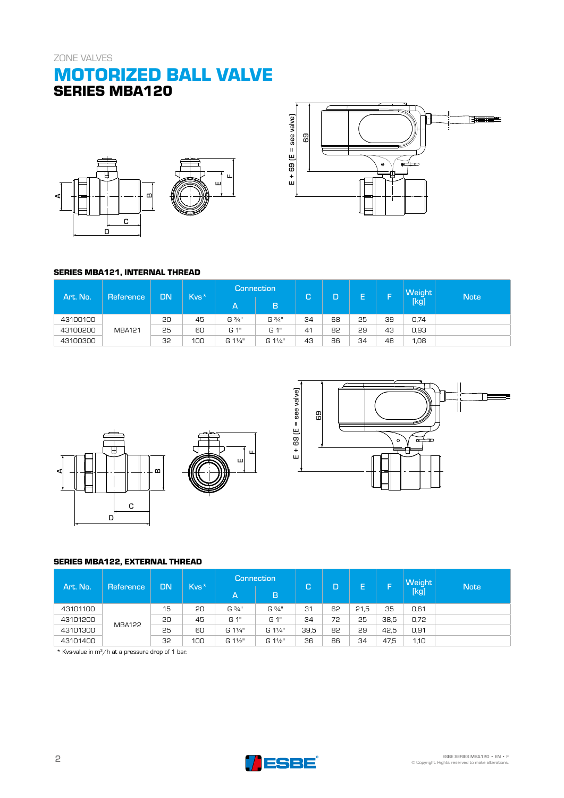## **MOTORIZED BALL VALVE SERIES MBA120**





#### **SERIES MBA121, INTERNAL THREAD**

| Art. No. | Reference     | DN | $Kvs*$ | А                 | <b>Connection</b><br>B | œ<br>U | D  | −  |    | <b>Weight</b><br>[kg] | <b>Note</b> |
|----------|---------------|----|--------|-------------------|------------------------|--------|----|----|----|-----------------------|-------------|
|          |               |    |        |                   |                        |        |    |    |    |                       |             |
| 43100100 |               | 20 | 45     | $G \frac{3}{4}$ " | G 3/4"                 | 34     | 68 | 25 | 39 | 0,74                  |             |
| 43100200 | <b>MBA121</b> | 25 | 60     | G 1"              | G 1"                   | 41     | 82 | 29 | 43 | 0,93                  |             |
| 43100300 |               | 32 | 100    | G 11/4"           | G 11/4"                | 43     | 86 | 34 | 48 | 1,08                  |             |





### **SERIES MBA122, EXTERNAL THREAD**

| Art. No. |               | DN<br>Reference |     |                      | Kvs*                 | <b>Connection</b> |    |      | C<br>D | ⊢    | Е | Weight | <b>Note</b> |
|----------|---------------|-----------------|-----|----------------------|----------------------|-------------------|----|------|--------|------|---|--------|-------------|
|          |               |                 |     | ΙAι                  | B                    |                   |    | −    |        | [kg] |   |        |             |
| 43101100 |               | 15              | 20  | $G\frac{3}{4}$ "     | G 3/4"               | 31                | 62 | 21.5 | 35     | 0,61 |   |        |             |
| 43101200 | <b>MBA122</b> | 20              | 45  | G 1"                 | G 1"                 | 34                | 72 | 25   | 38.5   | 0,72 |   |        |             |
| 43101300 |               | 25              | 60  | G 11/4"              | G 11/4"              | 39,5              | 82 | 29   | 42.5   | 0,91 |   |        |             |
| 43101400 |               | 32              | 100 | G 11/ <sub>2</sub> " | G 11/ <sub>2</sub> " | 36                | 86 | 34   | 47,5   | 1,10 |   |        |             |

E

LL.

\* Kvs-value in  $m^3/h$  at a pressure drop of 1 bar.

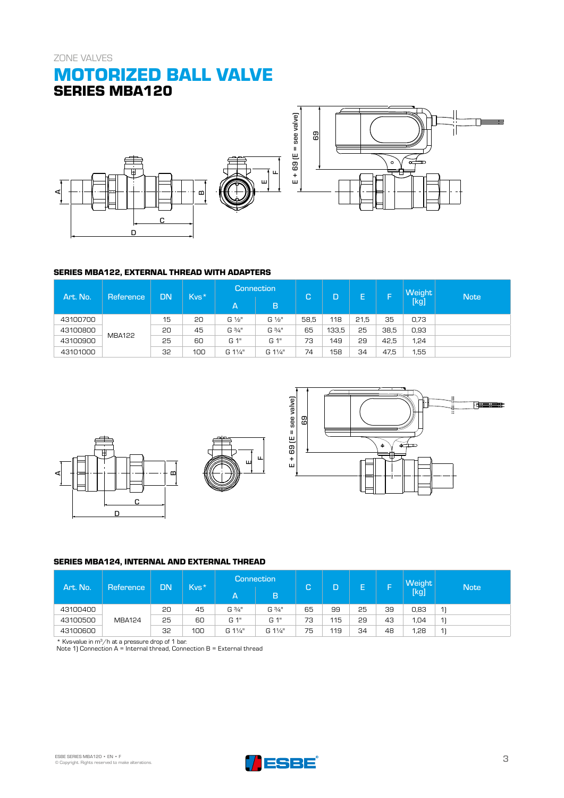# **MOTORIZED BALL VALVE SERIES MBA120**



#### **SERIES MBA122, EXTERNAL THREAD WITH ADAPTERS**

| Art. No.<br>Reference |               | DN |     |         |                |      |       |      |      |      |  |  |  |  |  |  |  |  |  |  |  |  |  |  | Kvs* |  | <b>Connection</b> | IC. | D | E. | ═<br>L | <b>Weight</b> | <b>Note</b> |
|-----------------------|---------------|----|-----|---------|----------------|------|-------|------|------|------|--|--|--|--|--|--|--|--|--|--|--|--|--|--|------|--|-------------------|-----|---|----|--------|---------------|-------------|
|                       |               |    |     | ΙA.     | B              |      |       | -    |      | [kg] |  |  |  |  |  |  |  |  |  |  |  |  |  |  |      |  |                   |     |   |    |        |               |             |
| 43100700              |               | 15 | 20  | G ½"    | $G\frac{1}{2}$ | 58.5 | 118   | 21.5 | 35   | 0,73 |  |  |  |  |  |  |  |  |  |  |  |  |  |  |      |  |                   |     |   |    |        |               |             |
| 43100800              | <b>MBA122</b> | 20 | 45  | G 3/4"  | G 3/4"         | 65   | 133,5 | 25   | 38,5 | 0,93 |  |  |  |  |  |  |  |  |  |  |  |  |  |  |      |  |                   |     |   |    |        |               |             |
| 43100900              |               | 25 | 60  | G 1"    | G 1"           | 73   | 149   | 29   | 42,5 | 1,24 |  |  |  |  |  |  |  |  |  |  |  |  |  |  |      |  |                   |     |   |    |        |               |             |
| 43101000              |               | 32 | 100 | G 11/4" | G 11/4"        | 74   | 158   | 34   | 47,5 | 1,55 |  |  |  |  |  |  |  |  |  |  |  |  |  |  |      |  |                   |     |   |    |        |               |             |







### **SERIES MBA124, INTERNAL AND EXTERNAL THREAD**

| Art. No. | Reference     | DN. | Kvs* | A       | <b>Connection</b><br>B. | <b>Sept</b><br>تا | D   | ⊢<br>− |    | <b>Weight</b><br>[kg] | <b>Note</b> |
|----------|---------------|-----|------|---------|-------------------------|-------------------|-----|--------|----|-----------------------|-------------|
| 43100400 |               | 20  | 45   | G 3/4"  | G 3/4"                  | 65                | 99  | 25     | 39 | 0,83                  | 11          |
| 43100500 | <b>MBA124</b> | 25  | 60   | G 1"    | G 1"                    | 73                | 115 | 29     | 43 | 1,04                  | 11          |
| 43100600 |               | 32  | 100  | G 11/4" | G 11/4"                 | 75                | 119 | 34     | 48 | 1,28                  | 11          |

\* Kvs-value in m3/h at a pressure drop of 1 bar. Note 1) Connection A = Internal thread, Connection B = External thread